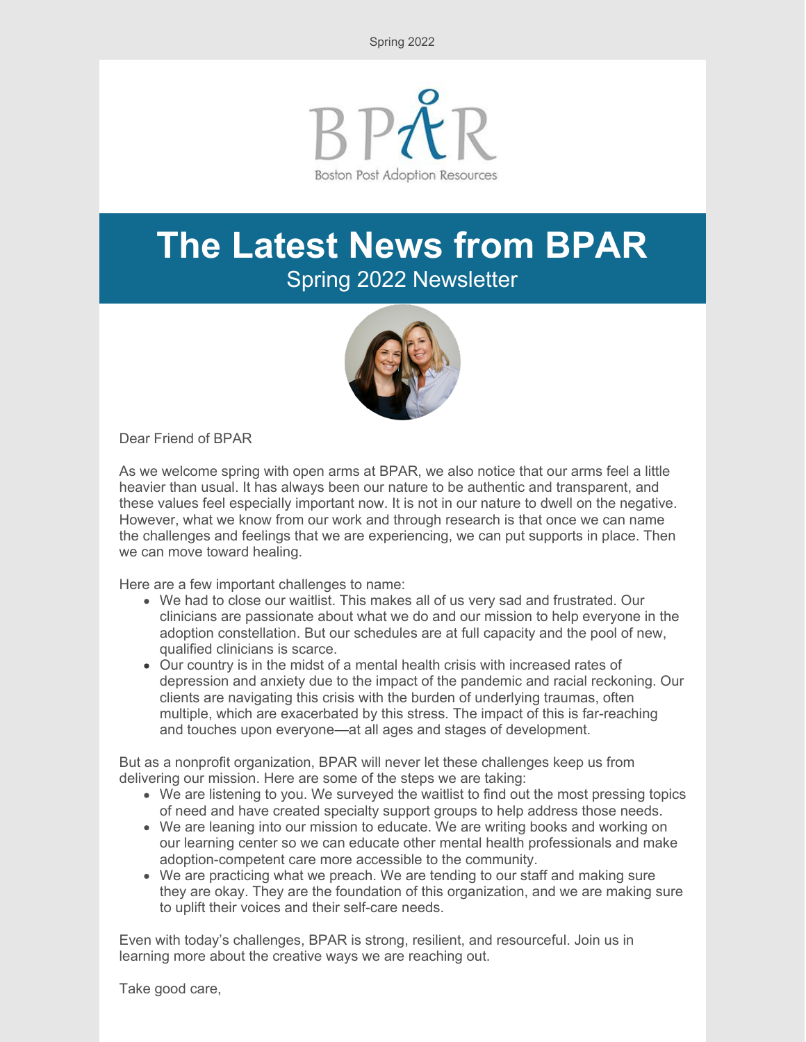Spring 2022



# **The Latest News from BPAR** Spring 2022 Newsletter



Dear Friend of BPAR

As we welcome spring with open arms at BPAR, we also notice that our arms feel a little heavier than usual. It has always been our nature to be authentic and transparent, and these values feel especially important now. It is not in our nature to dwell on the negative. However, what we know from our work and through research is that once we can name the challenges and feelings that we are experiencing, we can put supports in place. Then we can move toward healing.

Here are a few important challenges to name:

- We had to close our waitlist. This makes all of us very sad and frustrated. Our clinicians are passionate about what we do and our mission to help everyone in the adoption constellation. But our schedules are at full capacity and the pool of new, qualified clinicians is scarce.
- Our country is in the midst of a mental health crisis with increased rates of depression and anxiety due to the impact of the pandemic and racial reckoning. Our clients are navigating this crisis with the burden of underlying traumas, often multiple, which are exacerbated by this stress. The impact of this is far-reaching and touches upon everyone—at all ages and stages of development.

But as a nonprofit organization, BPAR will never let these challenges keep us from delivering our mission. Here are some of the steps we are taking:

- We are listening to you. We surveyed the waitlist to find out the most pressing topics of need and have created specialty support groups to help address those needs.
- We are leaning into our mission to educate. We are writing books and working on our learning center so we can educate other mental health professionals and make adoption-competent care more accessible to the community.
- We are practicing what we preach. We are tending to our staff and making sure they are okay. They are the foundation of this organization, and we are making sure to uplift their voices and their self-care needs.

Even with today's challenges, BPAR is strong, resilient, and resourceful. Join us in learning more about the creative ways we are reaching out.

Take good care,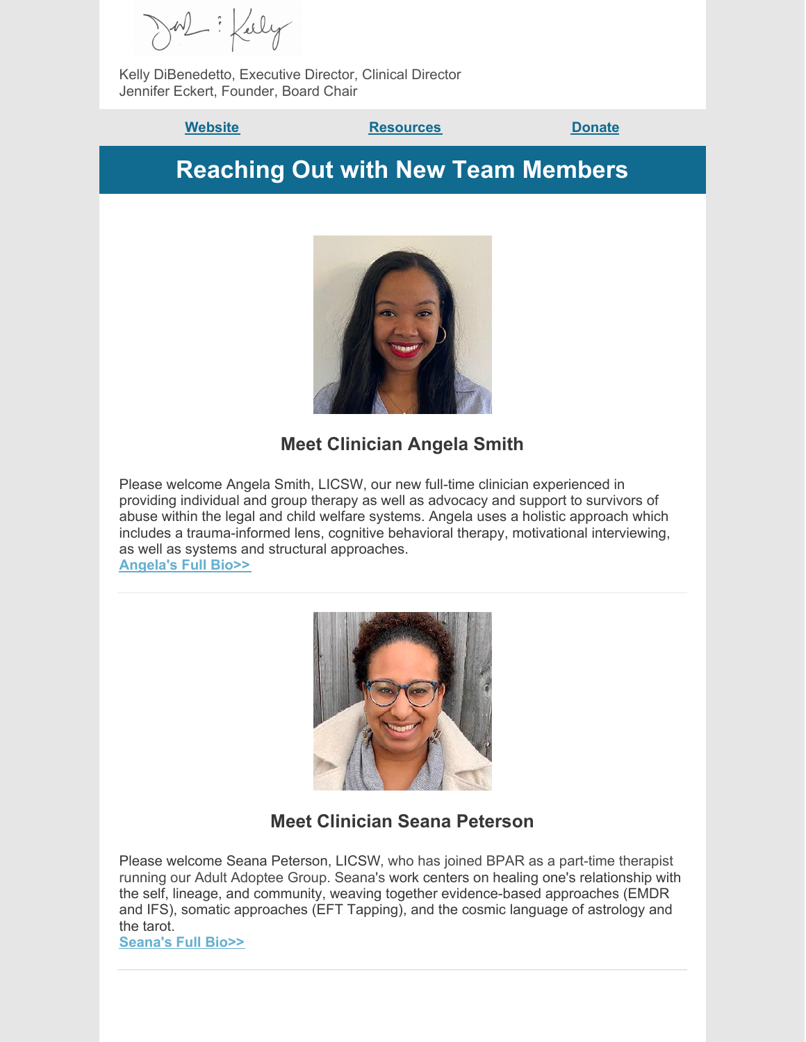Kelly DiBenedetto, Executive Director, Clinical Director Jennifer Eckert, Founder, Board Chair

**Website Construction [Resources](https://bpar.org/post-adoption-resources-center/) [Donate](https://bpar.org/our-vision/)** 

**Reaching Out with New Team Members**



#### **Meet Clinician Angela Smith**

Please welcome Angela Smith, LICSW, our new full-time clinician experienced in providing individual and group therapy as well as advocacy and support to survivors of abuse within the legal and child welfare systems. Angela uses a holistic approach which includes a trauma-informed lens, cognitive behavioral therapy, motivational interviewing, as well as systems and structural approaches.

**[Angela's](https://bpar.org/about-boston-post-adoption-resources/bpar-team/) Full Bio>>**



#### **Meet Clinician Seana Peterson**

Please welcome Seana Peterson, LICSW, who has joined BPAR as a part-time therapist running our Adult Adoptee Group. Seana's work centers on healing one's relationship with the self, lineage, and community, weaving together evidence-based approaches (EMDR and IFS), somatic approaches (EFT Tapping), and the cosmic language of astrology and the tarot.

**[Seana's](https://bpar.org/about-boston-post-adoption-resources/bpar-team/) Full Bio>>**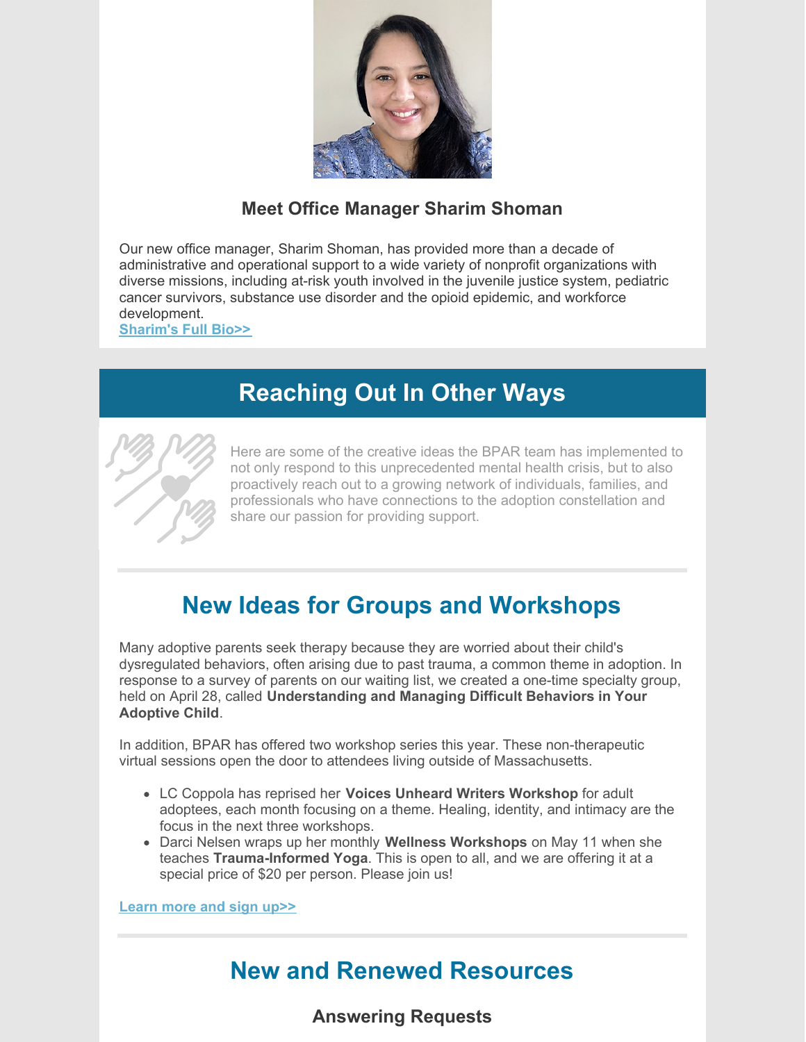

### **Meet Office Manager Sharim Shoman**

Our new office manager, Sharim Shoman, has provided more than a decade of administrative and operational support to a wide variety of nonprofit organizations with diverse missions, including at-risk youth involved in the juvenile justice system, pediatric cancer survivors, substance use disorder and the opioid epidemic, and workforce development.

**[Sharim's](https://bpar.org/about-boston-post-adoption-resources/bpar-team/) Full Bio>>**

### **Reaching Out In Other Ways**



Here are some of the creative ideas the BPAR team has implemented to not only respond to this unprecedented mental health crisis, but to also proactively reach out to a growing network of individuals, families, and professionals who have connections to the adoption constellation and share our passion for providing support.

## **New Ideas for Groups and Workshops**

Many adoptive parents seek therapy because they are worried about their child's dysregulated behaviors, often arising due to past trauma, a common theme in adoption. In response to a survey of parents on our waiting list, we created a one-time specialty group, held on April 28, called **Understanding and Managing Difficult Behaviors in Your Adoptive Child**.

In addition, BPAR has offered two workshop series this year. These non-therapeutic virtual sessions open the door to attendees living outside of Massachusetts.

- LC Coppola has reprised her **Voices Unheard Writers Workshop** for adult adoptees, each month focusing on a theme. Healing, identity, and intimacy are the focus in the next three workshops.
- Darci Nelsen wraps up her monthly **Wellness Workshops** on May 11 when she teaches **Trauma-Informed Yoga**. This is open to all, and we are offering it at a special price of \$20 per person. Please join us!

**[Learn](https://bpar.org/group-therapy/) more and sign up>>**

### **New and Renewed Resources**

#### **Answering Requests**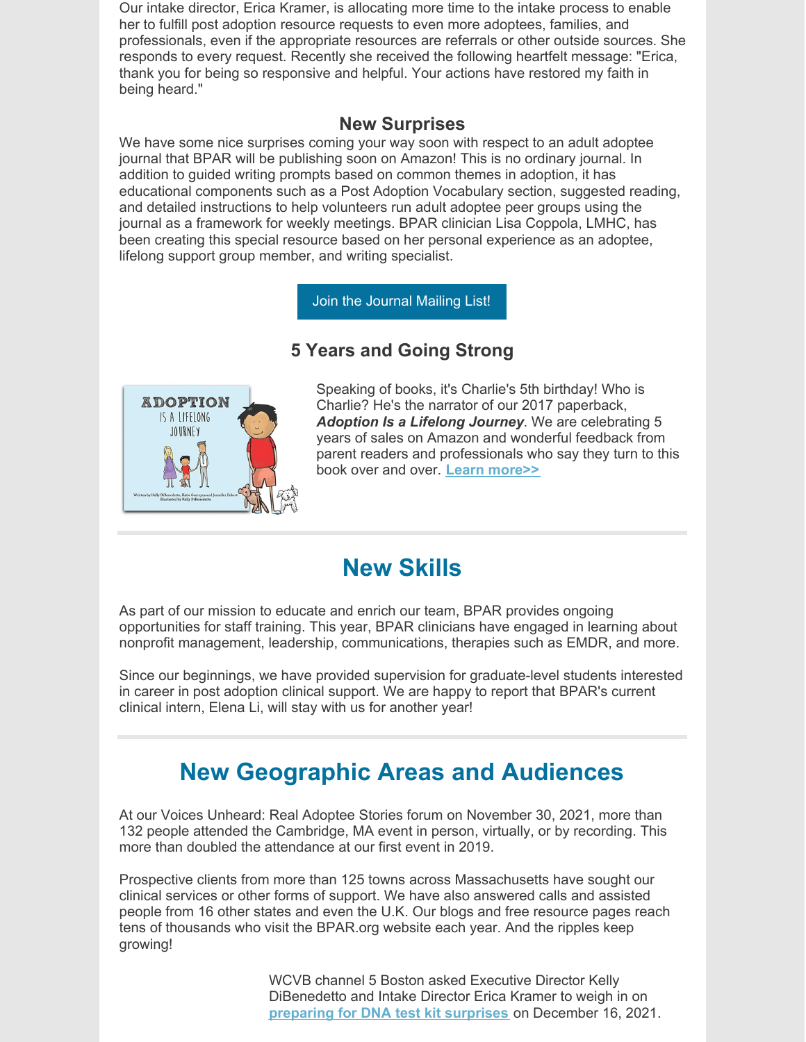Our intake director, Erica Kramer, is allocating more time to the intake process to enable her to fulfill post adoption resource requests to even more adoptees, families, and professionals, even if the appropriate resources are referrals or other outside sources. She responds to every request. Recently she received the following heartfelt message: "Erica, thank you for being so responsive and helpful. Your actions have restored my faith in being heard."

#### **New Surprises**

We have some nice surprises coming your way soon with respect to an adult adoptee journal that BPAR will be publishing soon on Amazon! This is no ordinary journal. In addition to guided writing prompts based on common themes in adoption, it has educational components such as a Post Adoption Vocabulary section, suggested reading, and detailed instructions to help volunteers run adult adoptee peer groups using the journal as a framework for weekly meetings. BPAR clinician Lisa Coppola, LMHC, has been creating this special resource based on her personal experience as an adoptee, lifelong support group member, and writing specialist.

Join the [Journal](https://lp.constantcontactpages.com/su/jbRm3dF/VoicesUnheardJournal?source_id=f6860b4e-701a-49e4-8d96-7d28e9561ecd&source_type=em&c=) Mailing List!

#### **5 Years and Going Strong**



Speaking of books, it's Charlie's 5th birthday! Who is Charlie? He's the narrator of our 2017 paperback, *Adoption Is a Lifelong Journey*. We are celebrating 5 years of sales on Amazon and wonderful feedback from parent readers and professionals who say they turn to this book over and over. **Learn [more>>](https://bpar.org/adoption-is-a-lifelong-journey-book/)**

### **New Skills**

As part of our mission to educate and enrich our team, BPAR provides ongoing opportunities for staff training. This year, BPAR clinicians have engaged in learning about nonprofit management, leadership, communications, therapies such as EMDR, and more.

Since our beginnings, we have provided supervision for graduate-level students interested in career in post adoption clinical support. We are happy to report that BPAR's current clinical intern, Elena Li, will stay with us for another year!

### **New Geographic Areas and Audiences**

At our Voices Unheard: Real Adoptee Stories forum on November 30, 2021, more than 132 people attended the Cambridge, MA event in person, virtually, or by recording. This more than doubled the attendance at our first event in 2019.

Prospective clients from more than 125 towns across Massachusetts have sought our clinical services or other forms of support. We have also answered calls and assisted people from 16 other states and even the U.K. Our blogs and free resource pages reach tens of thousands who visit the BPAR.org website each year. And the ripples keep growing!

> WCVB channel 5 Boston asked Executive Director Kelly DiBenedetto and Intake Director Erica Kramer to weigh in on **[preparing](https://l.facebook.com/l.php?u=https%3A%2F%2Fwww.wcvb.com%2Farticle%2Fancestry-dna-kit-surprise-results-massachusetts-adoption-organization-offers-support%2F38544349%3Ffbclid%3DIwAR3PkAnpsM7vjggTitN4QuP8eQf-B7A3LlY9ek1eo6o9ZArvxhZ1Zq9dWao&h=AT3JJxZfDTJs5MpDkCU6VJaUZbZDiyKSOxGfFofFOBcr_JSh1I_osZZgL12eGf-ywuvbxpxKeJyc2GXu4XK8arUc8FBiLY5E-Nm54PyCdpYUgDgvA4ZuV0NqWbWR3NO98YovIik&__tn__=-UK-R&c%5B0%5D=AT3ZRB-Euz3M4XbeGtp2qZTri6vjnjwVkAihzsNWwGwAjS7BesYTH9m113oYcCFca0qPGcHgRh60W3Jq3XTU1o2i6LMZjTxCCvF9rcKhdoAyAaD7msQyr54SP1RAk5JF2VwCzXGPgVQNPd51XNRIa7uOhD_OOhoM_KEjH0dyoy8-m-slyC-_xZ03t4AaSLdmRPcoAfNy) for DNA test kit surprises** on December 16, 2021.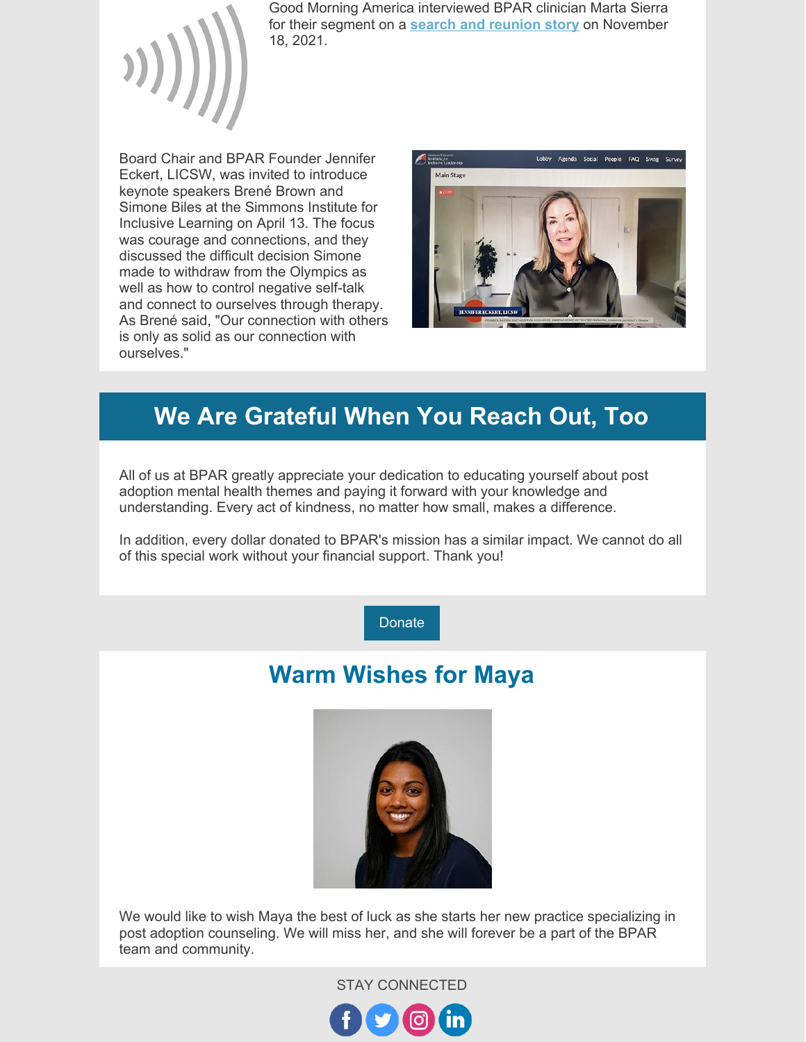

Good Morning America interviewed BPAR clinician Marta Sierra for their segment on a **search and [reunion](https://www.goodmorningamerica.com/family/video/documentary-found-explores-origins-adopted-children-81250284) story** on November 18, 2021.

Board Chair and BPAR Founder Jennifer Eckert, LICSW, was invited to introduce keynote speakers Brené Brown and Simone Biles at the Simmons Institute for Inclusive Learning on April 13. The focus was courage and connections, and they discussed the difficult decision Simone made to withdraw from the Olympics as well as how to control negative self-talk and connect to ourselves through therapy. As Brené said, "Our connection with others is only as solid as our connection with ourselves."



### **We Are Grateful When You Reach Out, Too**

All of us at BPAR greatly appreciate your dedication to educating yourself about post adoption mental health themes and paying it forward with your knowledge and understanding. Every act of kindness, no matter how small, makes a difference.

In addition, every dollar donated to BPAR's mission has a similar impact. We cannot do all of this special work without your financial support. Thank you!

**[Donate](https://bpar.org/our-vision/)** 

### **Warm Wishes for Maya**



We would like to wish Maya the best of luck as she starts her new practice specializing in post adoption counseling. We will miss her, and she will forever be a part of the BPAR team and community.

STAY CONNECTED